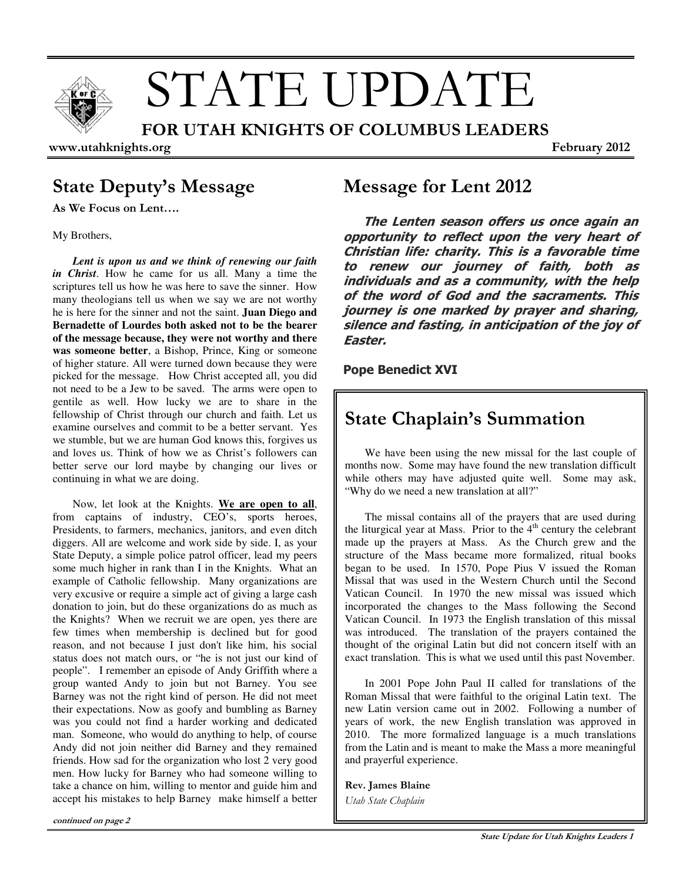

# STATE UPDATE

FOR UTAH KNIGHTS OF COLUMBUS LEADERS

www.utahknights.org February 2012

# State Deputy's Message

As We Focus on Lent….

My Brothers,

*Lent is upon us and we think of renewing our faith in Christ*. How he came for us all. Many a time the scriptures tell us how he was here to save the sinner. How many theologians tell us when we say we are not worthy he is here for the sinner and not the saint. **Juan Diego and Bernadette of Lourdes both asked not to be the bearer of the message because, they were not worthy and there was someone better**, a Bishop, Prince, King or someone of higher stature. All were turned down because they were picked for the message. How Christ accepted all, you did not need to be a Jew to be saved. The arms were open to gentile as well. How lucky we are to share in the fellowship of Christ through our church and faith. Let us examine ourselves and commit to be a better servant. Yes we stumble, but we are human God knows this, forgives us and loves us. Think of how we as Christ's followers can better serve our lord maybe by changing our lives or continuing in what we are doing.

Now, let look at the Knights. **We are open to all**, from captains of industry, CEO's, sports heroes, Presidents, to farmers, mechanics, janitors, and even ditch diggers. All are welcome and work side by side. I, as your State Deputy, a simple police patrol officer, lead my peers some much higher in rank than I in the Knights. What an example of Catholic fellowship. Many organizations are very excusive or require a simple act of giving a large cash donation to join, but do these organizations do as much as the Knights? When we recruit we are open, yes there are few times when membership is declined but for good reason, and not because I just don't like him, his social status does not match ours, or "he is not just our kind of people". I remember an episode of Andy Griffith where a group wanted Andy to join but not Barney. You see Barney was not the right kind of person. He did not meet their expectations. Now as goofy and bumbling as Barney was you could not find a harder working and dedicated man. Someone, who would do anything to help, of course Andy did not join neither did Barney and they remained friends. How sad for the organization who lost 2 very good men. How lucky for Barney who had someone willing to take a chance on him, willing to mentor and guide him and accept his mistakes to help Barney make himself a better

## Message for Lent 2012

The Lenten season offers us once again an opportunity to reflect upon the very heart of Christian life: charity. This is a favorable time to renew our journey of faith, both as individuals and as a community, with the help of the word of God and the sacraments. This journey is one marked by prayer and sharing, silence and fasting, in anticipation of the joy of Easter.

## Pope Benedict XVI

# State Chaplain's Summation

We have been using the new missal for the last couple of months now. Some may have found the new translation difficult while others may have adjusted quite well. Some may ask, "Why do we need a new translation at all?"

The missal contains all of the prayers that are used during the liturgical year at Mass. Prior to the  $4<sup>th</sup>$  century the celebrant made up the prayers at Mass. As the Church grew and the structure of the Mass became more formalized, ritual books began to be used. In 1570, Pope Pius V issued the Roman Missal that was used in the Western Church until the Second Vatican Council. In 1970 the new missal was issued which incorporated the changes to the Mass following the Second Vatican Council. In 1973 the English translation of this missal was introduced. The translation of the prayers contained the thought of the original Latin but did not concern itself with an exact translation. This is what we used until this past November.

In 2001 Pope John Paul II called for translations of the Roman Missal that were faithful to the original Latin text. The new Latin version came out in 2002. Following a number of years of work, the new English translation was approved in 2010. The more formalized language is a much translations from the Latin and is meant to make the Mass a more meaningful and prayerful experience.

## Rev. James Blaine

Utah State Chaplain